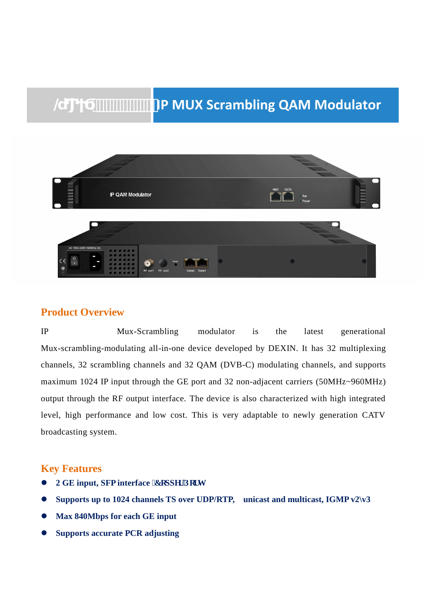# *@ IP MUX Scrambling QAM Modulator*



### **Product Overview**

IP Mux-Scrambling modulator is the latest generational Mux-scrambling-modulating all-in-one device developed by DEXIN. It has 32 multiplexing channels, 32 scrambling channels and 32 QAM (DVB-C) modulating channels, and supports maximum 1024 IP input through the GE port and 32 non-adjacent carriers (50MHz~960MHz) output through the RF output interface. The device is also characterized with high integrated level, high performance and low cost. This is very adaptable to newly generation CATV broadcasting system.

## **Key Features**

- **2 GE input, SFP interface <b>E**grrgt 'Rgt v
- **Supports up to 1024 channels TS over UDP/RTP, unicast and multicast, IGMP v2\v3**
- **Max 840Mbps for each GE input**
- **Supports accurate PCR adjusting**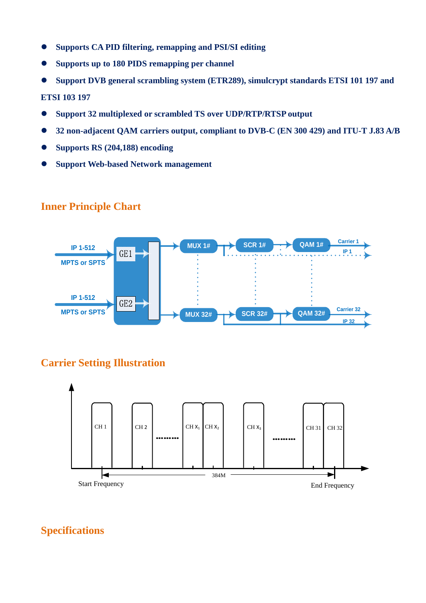- **Supports CA PID filtering, remapping and PSI/SI editing**
- **Supports up to 180 PIDS remapping per channel**
- **Support DVB general scrambling system (ETR289), simulcrypt standards ETSI 101 197 and**

**ETSI 103 197** 

- **Support 32 multiplexed or scrambled TS over UDP/RTP/RTSP output**
- **32 non-adjacent QAM carriers output, compliant to DVB-C (EN 300 429) and ITU-T J.83 A/B**
- **Supports RS (204,188) encoding**
- **Support Web-based Network management**



### **Inner Principle Chart**

# **Carrier Setting Illustration**



**Specifications**